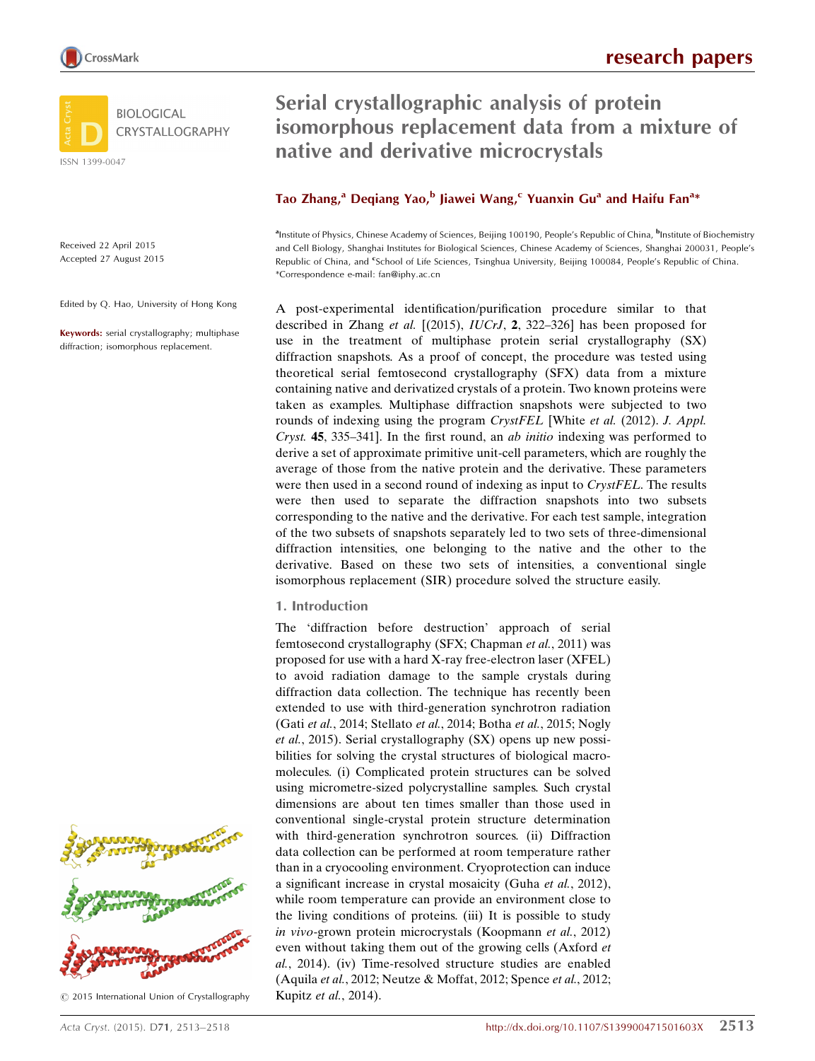

Received 22 April 2015 Accepted 27 August 2015

Edited by Q. Hao, University of Hong Kong

Keywords: serial crystallography; multiphase diffraction; isomorphous replacement.



 $©$  2015 International Union of Crystallography

Serial crystallographic analysis of protein isomorphous replacement data from a mixture of native and derivative microcrystals

# Tao Zhang,<sup>a</sup> Deqiang Yao,<sup>b</sup> Jiawei Wang,<sup>c</sup> Yuanxin Gu<sup>a</sup> and Haifu Fan<sup>a</sup>\*

<sup>a</sup>Institute of Physics, Chinese Academy of Sciences, Beijing 100190, People's Republic of China, <sup>b</sup>Institute of Biochemistry and Cell Biology, Shanghai Institutes for Biological Sciences, Chinese Academy of Sciences, Shanghai 200031, People's Republic of China, and <sup>e</sup>School of Life Sciences, Tsinghua University, Beijing 100084, People's Republic of China. \*Correspondence e-mail: fan@iphy.ac.cn

A post-experimental identification/purification procedure similar to that described in Zhang et al.  $[(2015), IUCrJ, 2, 322-326]$  has been proposed for use in the treatment of multiphase protein serial crystallography (SX) diffraction snapshots. As a proof of concept, the procedure was tested using theoretical serial femtosecond crystallography (SFX) data from a mixture containing native and derivatized crystals of a protein. Two known proteins were taken as examples. Multiphase diffraction snapshots were subjected to two rounds of indexing using the program CrystFEL [White et al. (2012). J. Appl. Cryst. 45, 335–341]. In the first round, an ab initio indexing was performed to derive a set of approximate primitive unit-cell parameters, which are roughly the average of those from the native protein and the derivative. These parameters were then used in a second round of indexing as input to *CrystFEL*. The results were then used to separate the diffraction snapshots into two subsets corresponding to the native and the derivative. For each test sample, integration of the two subsets of snapshots separately led to two sets of three-dimensional diffraction intensities, one belonging to the native and the other to the derivative. Based on these two sets of intensities, a conventional single isomorphous replacement (SIR) procedure solved the structure easily.

## 1. Introduction

The 'diffraction before destruction' approach of serial femtosecond crystallography (SFX; Chapman et al., 2011) was proposed for use with a hard X-ray free-electron laser (XFEL) to avoid radiation damage to the sample crystals during diffraction data collection. The technique has recently been extended to use with third-generation synchrotron radiation (Gati et al., 2014; Stellato et al., 2014; Botha et al., 2015; Nogly et al., 2015). Serial crystallography (SX) opens up new possibilities for solving the crystal structures of biological macromolecules. (i) Complicated protein structures can be solved using micrometre-sized polycrystalline samples. Such crystal dimensions are about ten times smaller than those used in conventional single-crystal protein structure determination with third-generation synchrotron sources. (ii) Diffraction data collection can be performed at room temperature rather than in a cryocooling environment. Cryoprotection can induce a significant increase in crystal mosaicity (Guha *et al.*, 2012), while room temperature can provide an environment close to the living conditions of proteins. (iii) It is possible to study in vivo-grown protein microcrystals (Koopmann et al., 2012) even without taking them out of the growing cells (Axford et al., 2014). (iv) Time-resolved structure studies are enabled (Aquila et al., 2012; Neutze & Moffat, 2012; Spence et al., 2012; Kupitz et al., 2014).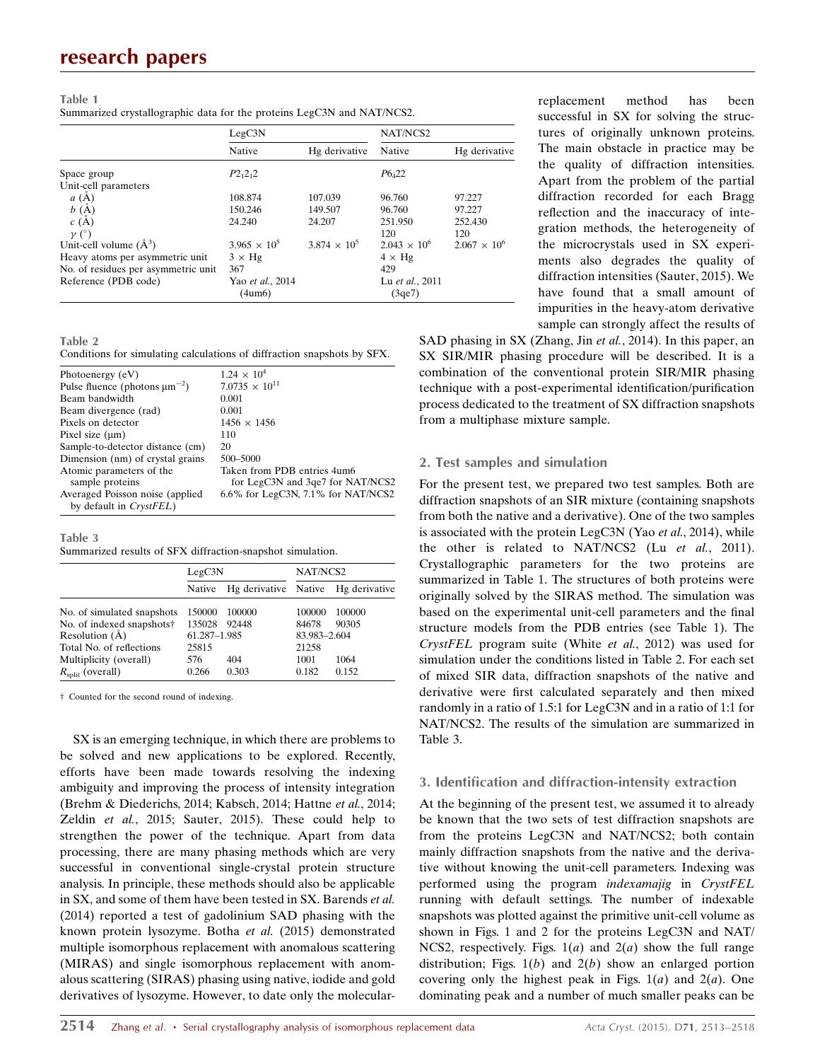### Table 1 Summarized crystallographic data for the proteins LegC3N and NAT/NCS2.

|                                     | LegC3N                     |                     | NAT/NCS2                  |                       |
|-------------------------------------|----------------------------|---------------------|---------------------------|-----------------------|
|                                     | Native                     | Hg derivative       | Native                    | Hg derivative         |
| Space group                         | $P2_12_12$                 |                     | $P6_{4}22$                |                       |
| Unit-cell parameters                |                            |                     |                           |                       |
| a(A)                                | 108.874                    | 107.039             | 96.760                    | 97.227                |
| b(A)                                | 150.246                    | 149.507             | 96.760                    | 97.227                |
| c(A)                                | 24.240                     | 24.207              | 251.950                   | 252.430               |
| $\nu$ (°)                           |                            |                     | 120                       | 120                   |
| Unit-cell volume $(\AA^3)$          | $3.965 \times 10^5$        | $3.874 \times 10^5$ | $2.043 \times 10^6$       | $2.067 \times 10^{6}$ |
| Heavy atoms per asymmetric unit     | $3 \times Hg$              |                     | $4 \times$ Hg             |                       |
| No. of residues per asymmetric unit | 367                        |                     | 429                       |                       |
| Reference (PDB code)                | Yao et al., 2014<br>(4um6) |                     | Lu et al., 2011<br>(3qe7) |                       |

Table 2

Conditions for simulating calculations of diffraction snapshots by SFX.

| $1.24 \times 10^{4}$               |
|------------------------------------|
| $7.0735 \times 10^{11}$            |
| 0.001                              |
| 0.001                              |
| $1456 \times 1456$                 |
| 110                                |
| 20                                 |
| 500-5000                           |
| Taken from PDB entries 4um6        |
| for LegC3N and 3qe7 for NAT/NCS2   |
| 6.6% for LegC3N, 7.1% for NAT/NCS2 |
|                                    |
|                                    |

#### Table 3

Summarized results of SFX diffraction-snapshot simulation.

|                              | LegC3N       |        | NAT/NCS2     |                                    |  |
|------------------------------|--------------|--------|--------------|------------------------------------|--|
|                              | Native       |        |              | Hg derivative Native Hg derivative |  |
| No. of simulated snapshots   | 150000       | 100000 | 100000       | 100000                             |  |
| No. of indexed snapshots†    | 135028       | 92448  | 84678        | 90305                              |  |
| Resolution $(A)$             | 61.287-1.985 |        | 83.983-2.604 |                                    |  |
| Total No. of reflections     | 25815        |        | 21258        |                                    |  |
| Multiplicity (overall)       | 576          | 404    | 1001         | 1064                               |  |
| $R_{\text{split}}$ (overall) | 0.266        | 0.303  | 0.182        | 0.152                              |  |

† Counted for the second round of indexing.

SX is an emerging technique, in which there are problems to be solved and new applications to be explored. Recently, efforts have been made towards resolving the indexing ambiguity and improving the process of intensity integration (Brehm & Diederichs, 2014; Kabsch, 2014; Hattne et al., 2014; Zeldin et al., 2015; Sauter, 2015). These could help to strengthen the power of the technique. Apart from data processing, there are many phasing methods which are very successful in conventional single-crystal protein structure analysis. In principle, these methods should also be applicable in SX, and some of them have been tested in SX. Barends et al. (2014) reported a test of gadolinium SAD phasing with the known protein lysozyme. Botha et al. (2015) demonstrated multiple isomorphous replacement with anomalous scattering (MIRAS) and single isomorphous replacement with anomalous scattering (SIRAS) phasing using native, iodide and gold derivatives of lysozyme. However, to date only the molecularreplacement method has been successful in SX for solving the structures of originally unknown proteins. The main obstacle in practice may be the quality of diffraction intensities. Apart from the problem of the partial diffraction recorded for each Bragg reflection and the inaccuracy of integration methods, the heterogeneity of the microcrystals used in SX experiments also degrades the quality of diffraction intensities (Sauter, 2015). We have found that a small amount of impurities in the heavy-atom derivative sample can strongly affect the results of

SAD phasing in SX (Zhang, Jin et al., 2014). In this paper, an SX SIR/MIR phasing procedure will be described. It is a combination of the conventional protein SIR/MIR phasing technique with a post-experimental identification/purification process dedicated to the treatment of SX diffraction snapshots from a multiphase mixture sample.

## 2. Test samples and simulation

For the present test, we prepared two test samples. Both are diffraction snapshots of an SIR mixture (containing snapshots from both the native and a derivative). One of the two samples is associated with the protein LegC3N (Yao et al., 2014), while the other is related to NAT/NCS2 (Lu et al., 2011). Crystallographic parameters for the two proteins are summarized in Table 1. The structures of both proteins were originally solved by the SIRAS method. The simulation was based on the experimental unit-cell parameters and the final structure models from the PDB entries (see Table 1). The CrystFEL program suite (White et al., 2012) was used for simulation under the conditions listed in Table 2. For each set of mixed SIR data, diffraction snapshots of the native and derivative were first calculated separately and then mixed randomly in a ratio of 1.5:1 for LegC3N and in a ratio of 1:1 for NAT/NCS2. The results of the simulation are summarized in Table 3.

## 3. Identification and diffraction-intensity extraction

At the beginning of the present test, we assumed it to already be known that the two sets of test diffraction snapshots are from the proteins LegC3N and NAT/NCS2; both contain mainly diffraction snapshots from the native and the derivative without knowing the unit-cell parameters. Indexing was performed using the program indexamajig in CrystFEL running with default settings. The number of indexable snapshots was plotted against the primitive unit-cell volume as shown in Figs. 1 and 2 for the proteins LegC3N and NAT/ NCS2, respectively. Figs.  $1(a)$  and  $2(a)$  show the full range distribution; Figs.  $1(b)$  and  $2(b)$  show an enlarged portion covering only the highest peak in Figs.  $1(a)$  and  $2(a)$ . One dominating peak and a number of much smaller peaks can be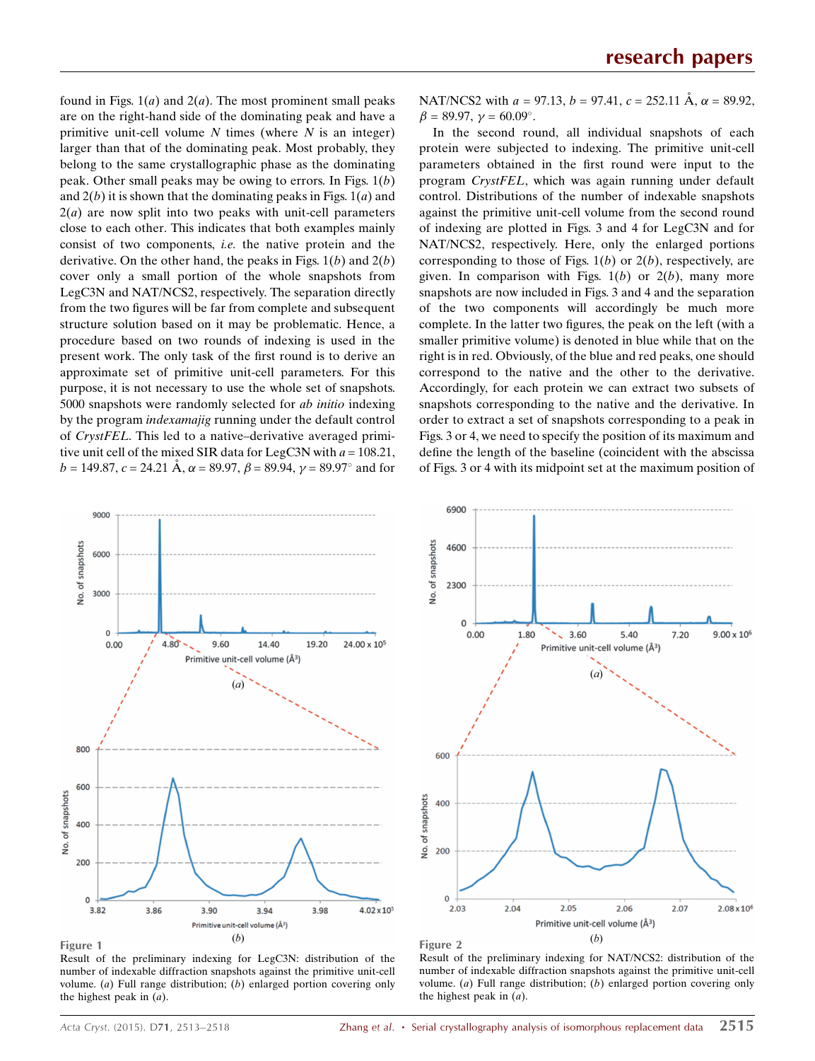found in Figs.  $1(a)$  and  $2(a)$ . The most prominent small peaks are on the right-hand side of the dominating peak and have a primitive unit-cell volume  $N$  times (where  $N$  is an integer) larger than that of the dominating peak. Most probably, they belong to the same crystallographic phase as the dominating peak. Other small peaks may be owing to errors. In Figs.  $1(b)$ and  $2(b)$  it is shown that the dominating peaks in Figs.  $1(a)$  and  $2(a)$  are now split into two peaks with unit-cell parameters close to each other. This indicates that both examples mainly consist of two components, i.e. the native protein and the derivative. On the other hand, the peaks in Figs.  $1(b)$  and  $2(b)$ cover only a small portion of the whole snapshots from LegC3N and NAT/NCS2, respectively. The separation directly from the two figures will be far from complete and subsequent structure solution based on it may be problematic. Hence, a procedure based on two rounds of indexing is used in the present work. The only task of the first round is to derive an approximate set of primitive unit-cell parameters. For this purpose, it is not necessary to use the whole set of snapshots. 5000 snapshots were randomly selected for ab initio indexing by the program indexamajig running under the default control of CrystFEL. This led to a native–derivative averaged primitive unit cell of the mixed SIR data for LegC3N with  $a = 108.21$ ,  $b = 149.87$ ,  $c = 24.21 \text{ Å}$ ,  $\alpha = 89.97$ ,  $\beta = 89.94$ ,  $\gamma = 89.97^{\circ}$  and for

NAT/NCS2 with  $a = 97.13$ ,  $b = 97.41$ ,  $c = 252.11 \text{ Å}$ ,  $\alpha = 89.92$ ,  $\beta = 89.97, \gamma = 60.09^{\circ}.$ 

In the second round, all individual snapshots of each protein were subjected to indexing. The primitive unit-cell parameters obtained in the first round were input to the program CrystFEL, which was again running under default control. Distributions of the number of indexable snapshots against the primitive unit-cell volume from the second round of indexing are plotted in Figs. 3 and 4 for LegC3N and for NAT/NCS2, respectively. Here, only the enlarged portions corresponding to those of Figs.  $1(b)$  or  $2(b)$ , respectively, are given. In comparison with Figs.  $1(b)$  or  $2(b)$ , many more snapshots are now included in Figs. 3 and 4 and the separation of the two components will accordingly be much more complete. In the latter two figures, the peak on the left (with a smaller primitive volume) is denoted in blue while that on the right is in red. Obviously, of the blue and red peaks, one should correspond to the native and the other to the derivative. Accordingly, for each protein we can extract two subsets of snapshots corresponding to the native and the derivative. In order to extract a set of snapshots corresponding to a peak in Figs. 3 or 4, we need to specify the position of its maximum and define the length of the baseline (coincident with the abscissa of Figs. 3 or 4 with its midpoint set at the maximum position of



Figure 1

Result of the preliminary indexing for LegC3N: distribution of the number of indexable diffraction snapshots against the primitive unit-cell volume.  $(a)$  Full range distribution;  $(b)$  enlarged portion covering only the highest peak in  $(a)$ .



Figure 2

Result of the preliminary indexing for NAT/NCS2: distribution of the number of indexable diffraction snapshots against the primitive unit-cell volume.  $(a)$  Full range distribution;  $(b)$  enlarged portion covering only the highest peak in  $(a)$ .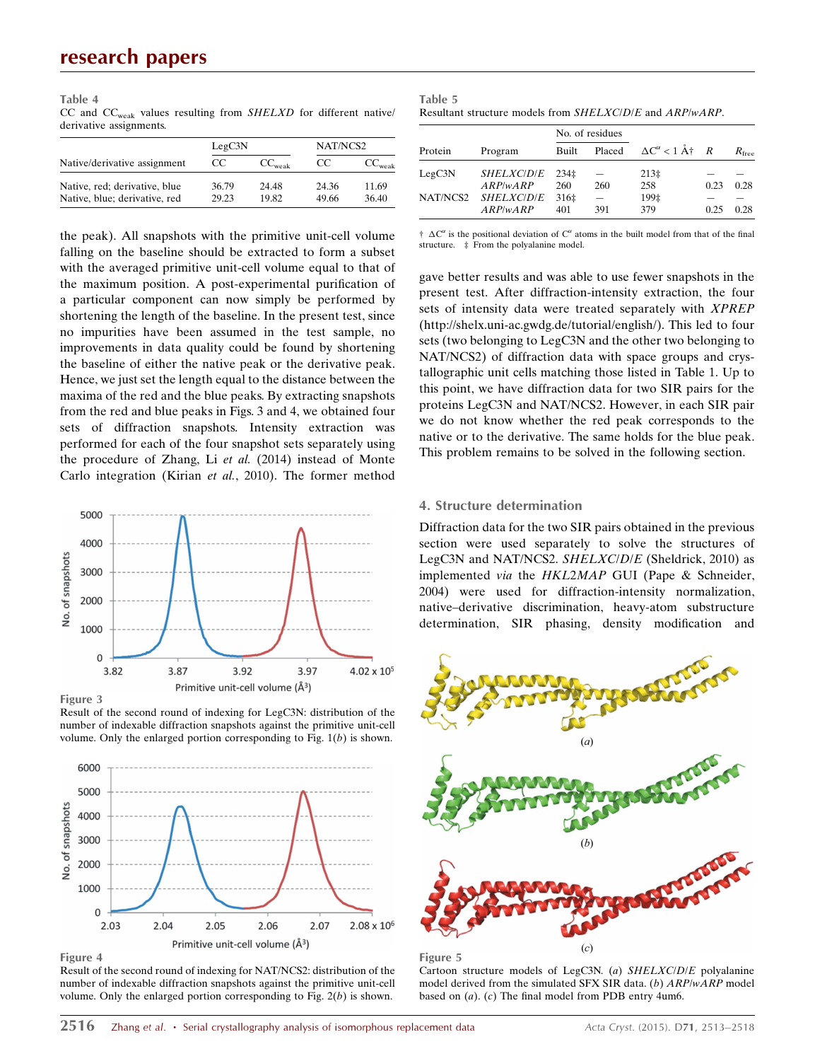Table 4 CC and  $CC_{weak}$  values resulting from  $SHELXD$  for different native/ derivative assignments.

|                               | LegC3N |                    | NAT/NCS2 |                    |
|-------------------------------|--------|--------------------|----------|--------------------|
| Native/derivative assignment  | CC.    | $CC_{\text{weak}}$ | CC       | $CC_{\text{weak}}$ |
| Native, red; derivative, blue | 36.79  | 24.48              | 24.36    | 11.69              |
| Native, blue; derivative, red | 29.23  | 19.82              | 49.66    | 36.40              |

the peak). All snapshots with the primitive unit-cell volume falling on the baseline should be extracted to form a subset with the averaged primitive unit-cell volume equal to that of the maximum position. A post-experimental purification of a particular component can now simply be performed by shortening the length of the baseline. In the present test, since no impurities have been assumed in the test sample, no improvements in data quality could be found by shortening the baseline of either the native peak or the derivative peak. Hence, we just set the length equal to the distance between the maxima of the red and the blue peaks. By extracting snapshots from the red and blue peaks in Figs. 3 and 4, we obtained four sets of diffraction snapshots. Intensity extraction was performed for each of the four snapshot sets separately using the procedure of Zhang, Li et al. (2014) instead of Monte Carlo integration (Kirian et al., 2010). The former method



Result of the second round of indexing for LegC3N: distribution of the number of indexable diffraction snapshots against the primitive unit-cell volume. Only the enlarged portion corresponding to Fig.  $1(b)$  is shown.



Figure 4

Result of the second round of indexing for NAT/NCS2: distribution of the number of indexable diffraction snapshots against the primitive unit-cell volume. Only the enlarged portion corresponding to Fig.  $2(b)$  is shown.

| Table 5                                                                          |  |
|----------------------------------------------------------------------------------|--|
| Resultant structure models from <i>SHELXCIDIE</i> and <i>ARP</i> / <i>wARP</i> . |  |

| Protein  | Program           | No. of residues  |        |                                                 |      |                |
|----------|-------------------|------------------|--------|-------------------------------------------------|------|----------------|
|          |                   | Built            | Placed | $\Delta C^{\alpha} < 1$ $\dot{A}^{\dagger}$ $R$ |      | $R_{\rm free}$ |
| LegC3N   | <i>SHELXCIDIE</i> | 234 <sub>1</sub> |        | 213 <sub>‡</sub>                                |      |                |
|          | ARP/wARP          | 260              | 260    | 258                                             | 0.23 | 0.28           |
| NAT/NCS2 | <i>SHELXCIDIE</i> | 316‡             |        | 199‡                                            |      |                |
|          | ARP/wARP          | 401              | 391    | 379                                             | 0.25 | 0.28           |

 $\dagger \Delta C^{\alpha}$  is the positional deviation of  $C^{\alpha}$  atoms in the built model from that of the final structure. ‡ From the polyalanine model.

gave better results and was able to use fewer snapshots in the present test. After diffraction-intensity extraction, the four sets of intensity data were treated separately with XPREP (http://shelx.uni-ac.gwdg.de/tutorial/english/). This led to four sets (two belonging to LegC3N and the other two belonging to NAT/NCS2) of diffraction data with space groups and crystallographic unit cells matching those listed in Table 1. Up to this point, we have diffraction data for two SIR pairs for the proteins LegC3N and NAT/NCS2. However, in each SIR pair we do not know whether the red peak corresponds to the native or to the derivative. The same holds for the blue peak. This problem remains to be solved in the following section.

#### 4. Structure determination

Diffraction data for the two SIR pairs obtained in the previous section were used separately to solve the structures of LegC3N and NAT/NCS2. SHELXC/D/E (Sheldrick, 2010) as implemented via the HKL2MAP GUI (Pape & Schneider, 2004) were used for diffraction-intensity normalization, native–derivative discrimination, heavy-atom substructure determination, SIR phasing, density modification and





Cartoon structure models of LegC3N. (a) SHELXC/D/E polyalanine model derived from the simulated SFX SIR data. (b) ARP/wARP model based on (a). (c) The final model from PDB entry 4um6.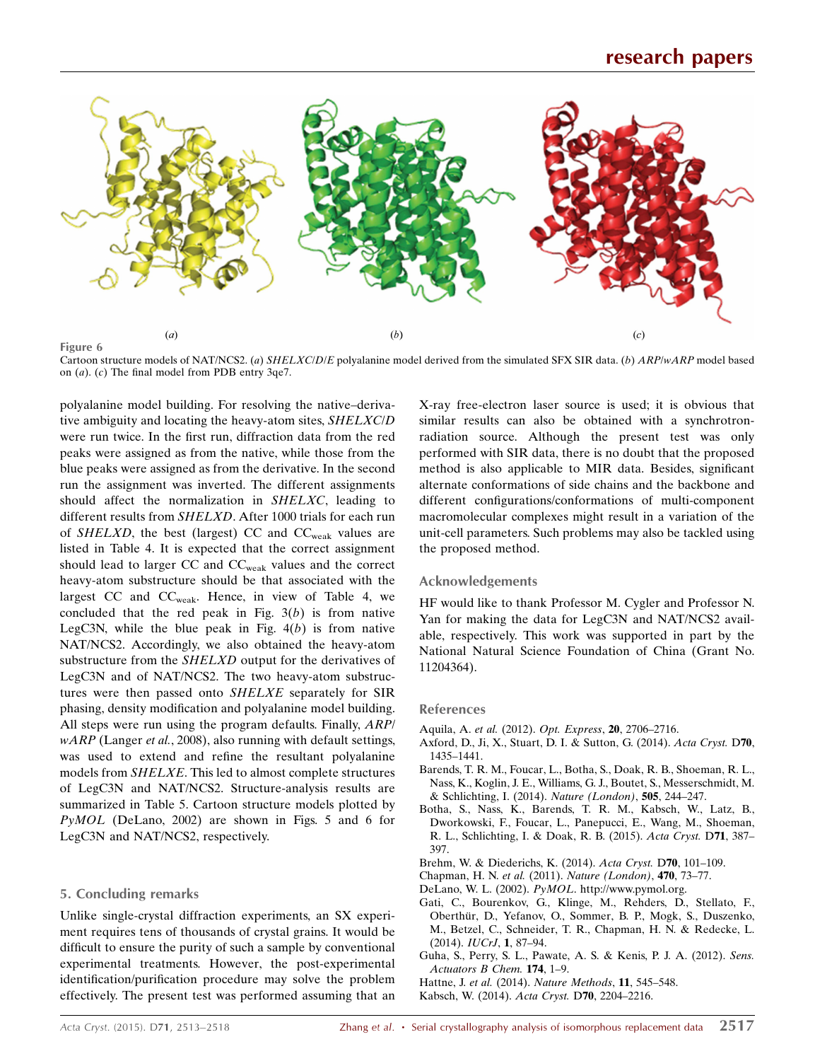

Cartoon structure models of NAT/NCS2. (a) SHELXC/D/E polyalanine model derived from the simulated SFX SIR data. (b) ARP/wARP model based on (a). (c) The final model from PDB entry 3qe7.

polyalanine model building. For resolving the native–derivative ambiguity and locating the heavy-atom sites, SHELXC/D were run twice. In the first run, diffraction data from the red peaks were assigned as from the native, while those from the blue peaks were assigned as from the derivative. In the second run the assignment was inverted. The different assignments should affect the normalization in SHELXC, leading to different results from SHELXD. After 1000 trials for each run of *SHELXD*, the best (largest) CC and  $CC_{weak}$  values are listed in Table 4. It is expected that the correct assignment should lead to larger CC and CCweak values and the correct heavy-atom substructure should be that associated with the largest CC and  $CC_{weak}$ . Hence, in view of Table 4, we concluded that the red peak in Fig.  $3(b)$  is from native LegC3N, while the blue peak in Fig.  $4(b)$  is from native NAT/NCS2. Accordingly, we also obtained the heavy-atom substructure from the SHELXD output for the derivatives of LegC3N and of NAT/NCS2. The two heavy-atom substructures were then passed onto SHELXE separately for SIR phasing, density modification and polyalanine model building. All steps were run using the program defaults. Finally, ARP/  $wARP$  (Langer et al., 2008), also running with default settings, was used to extend and refine the resultant polyalanine models from SHELXE. This led to almost complete structures of LegC3N and NAT/NCS2. Structure-analysis results are summarized in Table 5. Cartoon structure models plotted by PyMOL (DeLano, 2002) are shown in Figs. 5 and 6 for LegC3N and NAT/NCS2, respectively.

## 5. Concluding remarks

Unlike single-crystal diffraction experiments, an SX experiment requires tens of thousands of crystal grains. It would be difficult to ensure the purity of such a sample by conventional experimental treatments. However, the post-experimental identification/purification procedure may solve the problem effectively. The present test was performed assuming that an X-ray free-electron laser source is used; it is obvious that similar results can also be obtained with a synchrotronradiation source. Although the present test was only performed with SIR data, there is no doubt that the proposed method is also applicable to MIR data. Besides, significant alternate conformations of side chains and the backbone and different configurations/conformations of multi-component macromolecular complexes might result in a variation of the unit-cell parameters. Such problems may also be tackled using the proposed method.

## Acknowledgements

HF would like to thank Professor M. Cygler and Professor N. Yan for making the data for LegC3N and NAT/NCS2 available, respectively. This work was supported in part by the National Natural Science Foundation of China (Grant No. 11204364).

## References

- Aquila, A. et al. (2012). [Opt. Express](http://scripts.iucr.org/cgi-bin/cr.cgi?rm=pdfbb&cnor=qh5029&bbid=BB1), 20, 2706–2716.
- [Axford, D., Ji, X., Stuart, D. I. & Sutton, G. \(2014\).](http://scripts.iucr.org/cgi-bin/cr.cgi?rm=pdfbb&cnor=qh5029&bbid=BB2) Acta Cryst. D70, [1435–1441.](http://scripts.iucr.org/cgi-bin/cr.cgi?rm=pdfbb&cnor=qh5029&bbid=BB2)
- [Barends, T. R. M., Foucar, L., Botha, S., Doak, R. B., Shoeman, R. L.,](http://scripts.iucr.org/cgi-bin/cr.cgi?rm=pdfbb&cnor=qh5029&bbid=BB3) [Nass, K., Koglin, J. E., Williams, G. J., Boutet, S., Messerschmidt, M.](http://scripts.iucr.org/cgi-bin/cr.cgi?rm=pdfbb&cnor=qh5029&bbid=BB3) [& Schlichting, I. \(2014\).](http://scripts.iucr.org/cgi-bin/cr.cgi?rm=pdfbb&cnor=qh5029&bbid=BB3) Nature (London), 505, 244–247.
- [Botha, S., Nass, K., Barends, T. R. M., Kabsch, W., Latz, B.,](http://scripts.iucr.org/cgi-bin/cr.cgi?rm=pdfbb&cnor=qh5029&bbid=BB4) [Dworkowski, F., Foucar, L., Panepucci, E., Wang, M., Shoeman,](http://scripts.iucr.org/cgi-bin/cr.cgi?rm=pdfbb&cnor=qh5029&bbid=BB4) [R. L., Schlichting, I. & Doak, R. B. \(2015\).](http://scripts.iucr.org/cgi-bin/cr.cgi?rm=pdfbb&cnor=qh5029&bbid=BB4) Acta Cryst. D71, 387– [397.](http://scripts.iucr.org/cgi-bin/cr.cgi?rm=pdfbb&cnor=qh5029&bbid=BB4)
- [Brehm, W. & Diederichs, K. \(2014\).](http://scripts.iucr.org/cgi-bin/cr.cgi?rm=pdfbb&cnor=qh5029&bbid=BB5) Acta Cryst. D70, 101–109.
- Chapman, H. N. et al. (2011). [Nature \(London\)](http://scripts.iucr.org/cgi-bin/cr.cgi?rm=pdfbb&cnor=qh5029&bbid=BB6), 470, 73–77.
- DeLano, W. L. (2002). PyMOL[. http://www.pymol.org.](http://scripts.iucr.org/cgi-bin/cr.cgi?rm=pdfbb&cnor=qh5029&bbid=BB7)
- [Gati, C., Bourenkov, G., Klinge, M., Rehders, D., Stellato, F.,](http://scripts.iucr.org/cgi-bin/cr.cgi?rm=pdfbb&cnor=qh5029&bbid=BB8) Oberthür, D., Yefanov, O., Sommer, B. P., Mogk, S., Duszenko, [M., Betzel, C., Schneider, T. R., Chapman, H. N. & Redecke, L.](http://scripts.iucr.org/cgi-bin/cr.cgi?rm=pdfbb&cnor=qh5029&bbid=BB8)  $(2014)$ . IUCrJ, 1, 87-94.
- [Guha, S., Perry, S. L., Pawate, A. S. & Kenis, P. J. A. \(2012\).](http://scripts.iucr.org/cgi-bin/cr.cgi?rm=pdfbb&cnor=qh5029&bbid=BB9) Sens. [Actuators B Chem.](http://scripts.iucr.org/cgi-bin/cr.cgi?rm=pdfbb&cnor=qh5029&bbid=BB9) 174, 1–9.

Hattne, J. et al. (2014). [Nature Methods](http://scripts.iucr.org/cgi-bin/cr.cgi?rm=pdfbb&cnor=qh5029&bbid=BB10), 11, 545–548.

[Kabsch, W. \(2014\).](http://scripts.iucr.org/cgi-bin/cr.cgi?rm=pdfbb&cnor=qh5029&bbid=BB12) Acta Cryst. D70, 2204–2216.